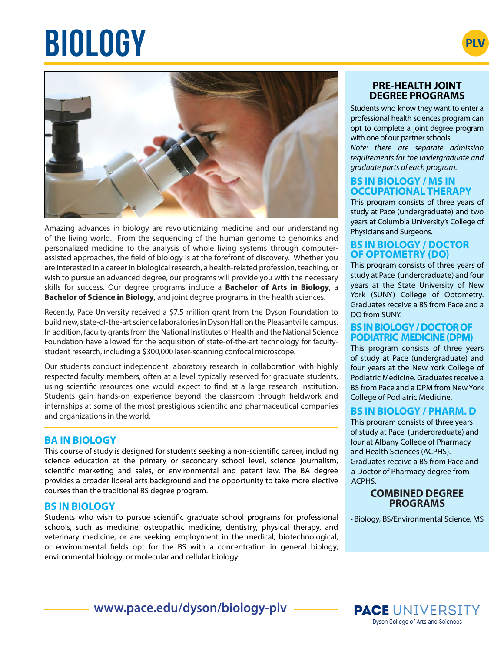# $BIOLOGY$





Amazing advances in biology are revolutionizing medicine and our understanding of the living world. From the sequencing of the human genome to genomics and personalized medicine to the analysis of whole living systems through computerassisted approaches, the field of biology is at the forefront of discovery. Whether you are interested in a career in biological research, a health-related profession, teaching, or wish to pursue an advanced degree, our programs will provide you with the necessary skills for success. Our degree programs include a **Bachelor of Arts in Biology**, a **Bachelor of Science in Biology**, and joint degree programs in the health sciences.

Recently, Pace University received a \$7.5 million grant from the Dyson Foundation to build new, state-of-the-art science laboratories in Dyson Hall on the Pleasantville campus. In addition, faculty grants from the National Institutes of Health and the National Science Foundation have allowed for the acquisition of state-of-the-art technology for facultystudent research, including a \$300,000 laser-scanning confocal microscope.

Our students conduct independent laboratory research in collaboration with highly respected faculty members, often at a level typically reserved for graduate students, using scientific resources one would expect to find at a large research institution. Students gain hands-on experience beyond the classroom through fieldwork and internships at some of the most prestigious scientific and pharmaceutical companies and organizations in the world.

# **BA IN BIOLOGY**

This course of study is designed for students seeking a non-scientific career, including science education at the primary or secondary school level, science journalism, scientific marketing and sales, or environmental and patent law. The BA degree provides a broader liberal arts background and the opportunity to take more elective courses than the traditional BS degree program.

# **BS IN BIOLOGY**

Students who wish to pursue scientific graduate school programs for professional schools, such as medicine, osteopathic medicine, dentistry, physical therapy, and veterinary medicine, or are seeking employment in the medical, biotechnological, or environmental fields opt for the BS with a concentration in general biology, environmental biology, or molecular and cellular biology.

## **PRE-HEALTH JOINT DEGREE PROGRAMS**

Students who know they want to enter a professional health sciences program can opt to complete a joint degree program with one of our partner schools.

*Note: there are separate admission requirements for the undergraduate and graduate parts of each program.*

## **BS IN BIOLOGY / MS IN OCCUPATIONAL THERAPY**

This program consists of three years of study at Pace (undergraduate) and two years at Columbia University's College of Physicians and Surgeons.

## **BS IN BIOLOGY / DOCTOR OF OPTOMETRY (DO)**

This program consists of three years of study at Pace (undergraduate) and four years at the State University of New York (SUNY) College of Optometry. Graduates receive a BS from Pace and a DO from SUNY.

#### **BS IN BIOLOGY / DOCTOR OF PODIATRIC MEDICINE (DPM)**

This program consists of three years of study at Pace (undergraduate) and four years at the New York College of Podiatric Medicine. Graduates receive a BS from Pace and a DPM from New York College of Podiatric Medicine.

# **BS IN BIOLOGY / PHARM. D**

This program consists of three years of study at Pace (undergraduate) and four at Albany College of Pharmacy and Health Sciences (ACPHS). Graduates receive a BS from Pace and a Doctor of Pharmacy degree from ACPHS.

#### **COMBINED DEGREE PROGRAMS**

• Biology, BS/Environmental Science, MS

**www.pace.edu/dyson/biology-plv**